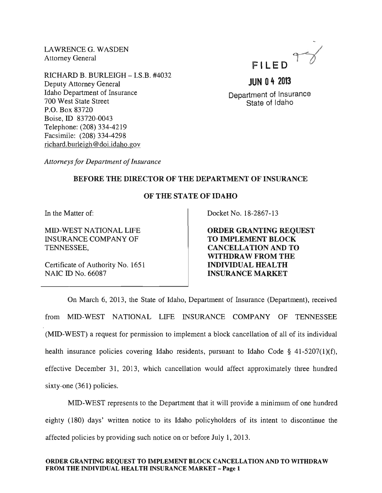LAWRENCEG. WASDEN Attorney General

RICHARD B. BURLEIGH - I.S.B. #4032 Deputy Attorney General Idaho Department of Insurance 700 West State Street P.O. Box 83720 Boise, ID 83720-0043 Telephone: (208) 334-4219 Facsimile: (208) 334-4298 richard.burleigh@doi.idaho.gov



Department of Insurance State of Idaho

**JUN 04 2013** 

*Attorneys for Department of Insurance* 

## BEFORE THE DIRECTOR OF THE DEPARTMENT OF INSURANCE

## OF THE STATE OF IDAHO

In the Matter of:

MID-WEST NATIONAL LIFE INSURANCE COMPANY OF TENNESSEE,

Certificate of Authority No. 1651 NAIC ID No. 66087

Docket No. 18-2867-13

ORDER GRANTING REQUEST TO IMPLEMENT BLOCK CANCELLATION AND TO WITHDRAW FROM THE INDIVIDUAL HEALTH INSURANCE MARKET

On March 6, 2013, the State of Idaho, Department of Insurance (Department), received from MID-WEST NATIONAL LIFE INSURANCE COMPANY OF TENNESSEE (MID-WEST) a request for permission to implement a block cancellation of all of its individual health insurance policies covering Idaho residents, pursuant to Idaho Code § 41-5207(1)(f), effective December 31, 2013, which cancellation would affect approximately three hundred sixty-one (361) policies.

MID-WEST represents to the Department that it will provide a minimum of one hundred eighty (180) days' written notice to its Idaho policyholders of its intent to discontinue the affected policies by providing such notice on or before July 1,2013.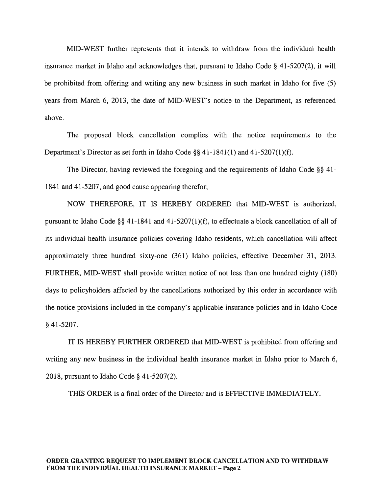MID-WEST further represents that it intends to withdraw from the individual health insurance market in Idaho and acknowledges that, pursuant to Idaho Code  $\S$  41-5207(2), it will be prohibited from offering and writing any new business in such market in Idaho for five (5) years from March 6, 2013, the date of MID-WEST's notice to the Department, as referenced above.

The proposed block cancellation complies with the notice requirements to the Department's Director as set forth in Idaho Code §§ 41-1841(1) and 41-5207(1)(f).

The Director, having reviewed the foregoing and the requirements of Idaho Code §§ 41- 1841 and 41-5207, and good cause appearing therefor;

NOW THEREFORE, IT IS HEREBY ORDERED that MID-WEST is authorized, pursuant to Idaho Code §§ 41-1841 and 41-5207(1)(f), to effectuate a block cancellation of all of its individual health insurance policies covering Idaho residents, which cancellation will affect approximately three hundred sixty-one (361) Idaho policies, effective December 31, 2013. FURTHER, MID-WEST shall provide written notice of not less than one hundred eighty (180) days to policyholders affected by the cancellations authorized by this order in accordance with the notice provisions included in the company's applicable insurance policies and in Idaho Code § 41-5207.

IT IS HEREBY FURTHER ORDERED that MID-WEST is prohibited from offering and writing any new business in the individual health insurance market in Idaho prior to March 6, 2018, pursuant to Idaho Code § 41-5207(2).

THIS ORDER is a final order of the Director and is EFFECTIVE IMMEDIATELY.

#### ORDER GRANTING REQUEST TO IMPLEMENT BLOCK CANCELLATION AND TO WITHDRAW FROM THE INDIVIDUAL HEALTH INSURANCE MARKET - Page 2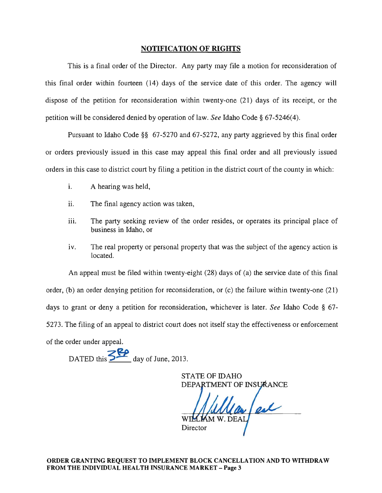### NOTIFICATION OF RIGHTS

This is a final order of the Director. Any party may file a motion for reconsideration of this final order within fourteen (14) days of the service date of this order. The agency will dispose of the petition for reconsideration within twenty-one (21) days of its receipt, or the petition will be considered denied by operation of law. *See* Idaho Code § 67-5246(4).

Pursuant to Idaho Code §§ 67-5270 and 67-5272, any party aggrieved by this final order or orders previously issued in this case may appeal this final order and all previously issued orders in this case to district court by filing a petition in the district court of the county in which:

- i. A hearing was held,
- ii. The final agency action was taken,
- iii. The party seeking review of the order resides, or operates its principal place of business in Idaho, or
- iv. The real property or personal property that was the subject of the agency action is located.

An appeal must be filed within twenty-eight (28) days of (a) the service date of this final order, (b) an order denying petition for reconsideration, or (c) the failure within twenty-one (21) days to grant or deny a petition for reconsideration, whichever is later. *See* Idaho Code § 67- 5273. The filing of an appeal to district court does not itself stay the effectiveness or enforcement of the order under appeal.

DATED this  $\frac{52}{\sqrt{2}}$  day of June, 2013.

STATE OF IDAHO DEPARTMENT OF INSURANCE

Director